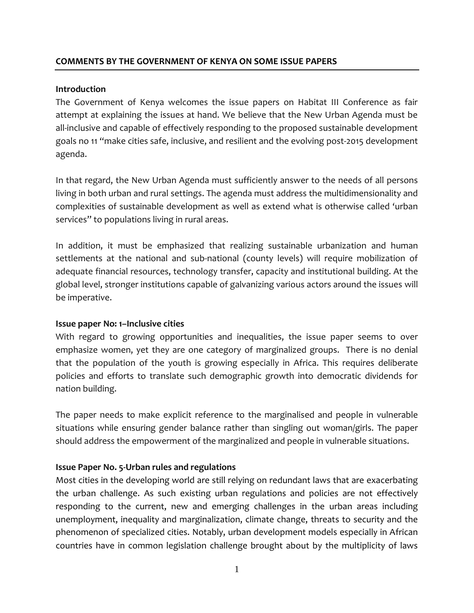## **COMMENTS BY THE GOVERNMENT OF KENYA ON SOME ISSUE PAPERS**

### **Introduction**

The Government of Kenya welcomes the issue papers on Habitat III Conference as fair attempt at explaining the issues at hand. We believe that the New Urban Agenda must be all-inclusive and capable of effectively responding to the proposed sustainable development goals no 11 "make cities safe, inclusive, and resilient and the evolving post-2015 development agenda.

In that regard, the New Urban Agenda must sufficiently answer to the needs of all persons living in both urban and rural settings. The agenda must address the multidimensionality and complexities of sustainable development as well as extend what is otherwise called 'urban services" to populations living in rural areas.

In addition, it must be emphasized that realizing sustainable urbanization and human settlements at the national and sub-national (county levels) will require mobilization of adequate financial resources, technology transfer, capacity and institutional building. At the global level, stronger institutions capable of galvanizing various actors around the issues will be imperative.

### **Issue paper No: 1–Inclusive cities**

With regard to growing opportunities and inequalities, the issue paper seems to over emphasize women, yet they are one category of marginalized groups. There is no denial that the population of the youth is growing especially in Africa. This requires deliberate policies and efforts to translate such demographic growth into democratic dividends for nation building.

The paper needs to make explicit reference to the marginalised and people in vulnerable situations while ensuring gender balance rather than singling out woman/girls. The paper should address the empowerment of the marginalized and people in vulnerable situations.

### **Issue Paper No. 5-Urban rules and regulations**

Most cities in the developing world are still relying on redundant laws that are exacerbating the urban challenge. As such existing urban regulations and policies are not effectively responding to the current, new and emerging challenges in the urban areas including unemployment, inequality and marginalization, climate change, threats to security and the phenomenon of specialized cities. Notably, urban development models especially in African countries have in common legislation challenge brought about by the multiplicity of laws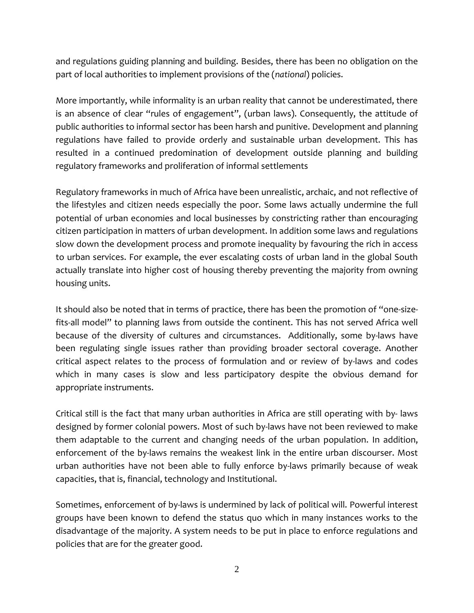and regulations guiding planning and building. Besides, there has been no obligation on the part of local authorities to implement provisions of the (*national*) policies.

More importantly, while informality is an urban reality that cannot be underestimated, there is an absence of clear "rules of engagement", (urban laws). Consequently, the attitude of public authorities to informal sector has been harsh and punitive. Development and planning regulations have failed to provide orderly and sustainable urban development. This has resulted in a continued predomination of development outside planning and building regulatory frameworks and proliferation of informal settlements

Regulatory frameworks in much of Africa have been unrealistic, archaic, and not reflective of the lifestyles and citizen needs especially the poor. Some laws actually undermine the full potential of urban economies and local businesses by constricting rather than encouraging citizen participation in matters of urban development. In addition some laws and regulations slow down the development process and promote inequality by favouring the rich in access to urban services. For example, the ever escalating costs of urban land in the global South actually translate into higher cost of housing thereby preventing the majority from owning housing units.

It should also be noted that in terms of practice, there has been the promotion of "one-sizefits-all model" to planning laws from outside the continent. This has not served Africa well because of the diversity of cultures and circumstances. Additionally, some by-laws have been regulating single issues rather than providing broader sectoral coverage. Another critical aspect relates to the process of formulation and or review of by-laws and codes which in many cases is slow and less participatory despite the obvious demand for appropriate instruments.

Critical still is the fact that many urban authorities in Africa are still operating with by- laws designed by former colonial powers. Most of such by-laws have not been reviewed to make them adaptable to the current and changing needs of the urban population. In addition, enforcement of the by-laws remains the weakest link in the entire urban discourser. Most urban authorities have not been able to fully enforce by-laws primarily because of weak capacities, that is, financial, technology and Institutional.

Sometimes, enforcement of by-laws is undermined by lack of political will. Powerful interest groups have been known to defend the status quo which in many instances works to the disadvantage of the majority. A system needs to be put in place to enforce regulations and policies that are for the greater good.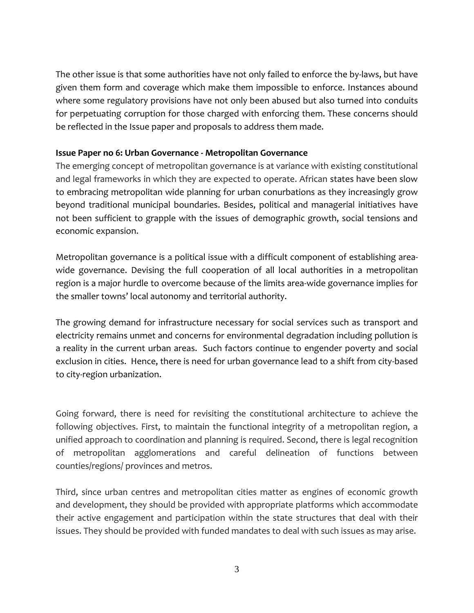The other issue is that some authorities have not only failed to enforce the by-laws, but have given them form and coverage which make them impossible to enforce. Instances abound where some regulatory provisions have not only been abused but also turned into conduits for perpetuating corruption for those charged with enforcing them. These concerns should be reflected in the Issue paper and proposals to address them made.

## **Issue Paper no 6: Urban Governance - Metropolitan Governance**

The emerging concept of metropolitan governance is at variance with existing constitutional and legal frameworks in which they are expected to operate. African states have been slow to embracing metropolitan wide planning for urban conurbations as they increasingly grow beyond traditional municipal boundaries. Besides, political and managerial initiatives have not been sufficient to grapple with the issues of demographic growth, social tensions and economic expansion.

Metropolitan governance is a political issue with a difficult component of establishing areawide governance. Devising the full cooperation of all local authorities in a metropolitan region is a major hurdle to overcome because of the limits area-wide governance implies for the smaller towns' local autonomy and territorial authority.

The growing demand for infrastructure necessary for social services such as transport and electricity remains unmet and concerns for environmental degradation including pollution is a reality in the current urban areas. Such factors continue to engender poverty and social exclusion in cities. Hence, there is need for urban governance lead to a shift from city-based to city-region urbanization.

Going forward, there is need for revisiting the constitutional architecture to achieve the following objectives. First, to maintain the functional integrity of a metropolitan region, a unified approach to coordination and planning is required. Second, there is legal recognition of metropolitan agglomerations and careful delineation of functions between counties/regions/ provinces and metros.

Third, since urban centres and metropolitan cities matter as engines of economic growth and development, they should be provided with appropriate platforms which accommodate their active engagement and participation within the state structures that deal with their issues. They should be provided with funded mandates to deal with such issues as may arise.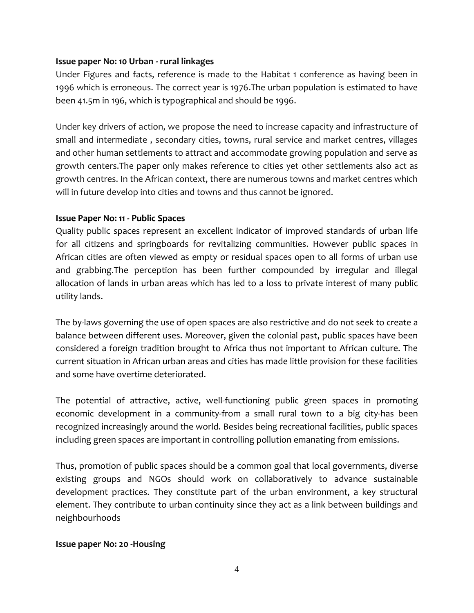# **Issue paper No: 10 Urban - rural linkages**

Under Figures and facts, reference is made to the Habitat 1 conference as having been in 1996 which is erroneous. The correct year is 1976.The urban population is estimated to have been 41.5m in 196, which is typographical and should be 1996.

Under key drivers of action, we propose the need to increase capacity and infrastructure of small and intermediate , secondary cities, towns, rural service and market centres, villages and other human settlements to attract and accommodate growing population and serve as growth centers.The paper only makes reference to cities yet other settlements also act as growth centres. In the African context, there are numerous towns and market centres which will in future develop into cities and towns and thus cannot be ignored.

# **Issue Paper No: 11 - Public Spaces**

Quality public spaces represent an excellent indicator of improved standards of urban life for all citizens and springboards for revitalizing communities. However public spaces in African cities are often viewed as empty or residual spaces open to all forms of urban use and grabbing.The perception has been further compounded by irregular and illegal allocation of lands in urban areas which has led to a loss to private interest of many public utility lands.

The by-laws governing the use of open spaces are also restrictive and do not seek to create a balance between different uses. Moreover, given the colonial past, public spaces have been considered a foreign tradition brought to Africa thus not important to African culture. The current situation in African urban areas and cities has made little provision for these facilities and some have overtime deteriorated.

The potential of attractive, active, well-functioning public green spaces in promoting economic development in a community-from a small rural town to a big city-has been recognized increasingly around the world. Besides being recreational facilities, public spaces including green spaces are important in controlling pollution emanating from emissions.

Thus, promotion of public spaces should be a common goal that local governments, diverse existing groups and NGOs should work on collaboratively to advance sustainable development practices. They constitute part of the urban environment, a key structural element. They contribute to urban continuity since they act as a link between buildings and neighbourhoods

### **Issue paper No: 20 -Housing**